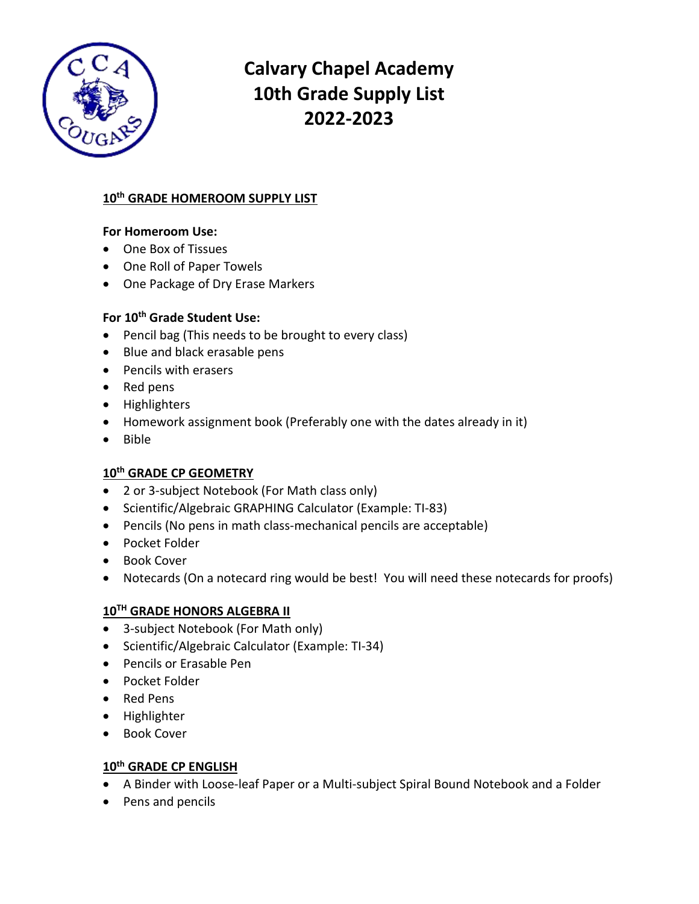

# **Calvary Chapel Academy 10th Grade Supply List 2022-2023**

## **10th GRADE HOMEROOM SUPPLY LIST**

## **For Homeroom Use:**

- One Box of Tissues
- One Roll of Paper Towels
- One Package of Dry Erase Markers

## **For 10th Grade Student Use:**

- Pencil bag (This needs to be brought to every class)
- Blue and black erasable pens
- Pencils with erasers
- Red pens
- Highlighters
- Homework assignment book (Preferably one with the dates already in it)
- Bible

## **10th GRADE CP GEOMETRY**

- 2 or 3-subject Notebook (For Math class only)
- Scientific/Algebraic GRAPHING Calculator (Example: TI-83)
- Pencils (No pens in math class-mechanical pencils are acceptable)
- Pocket Folder
- Book Cover
- Notecards (On a notecard ring would be best! You will need these notecards for proofs)

## **10TH GRADE HONORS ALGEBRA II**

- 3-subject Notebook (For Math only)
- Scientific/Algebraic Calculator (Example: TI-34)
- Pencils or Erasable Pen
- Pocket Folder
- Red Pens
- Highlighter
- Book Cover

## **10th GRADE CP ENGLISH**

- A Binder with Loose-leaf Paper or a Multi-subject Spiral Bound Notebook and a Folder
- Pens and pencils